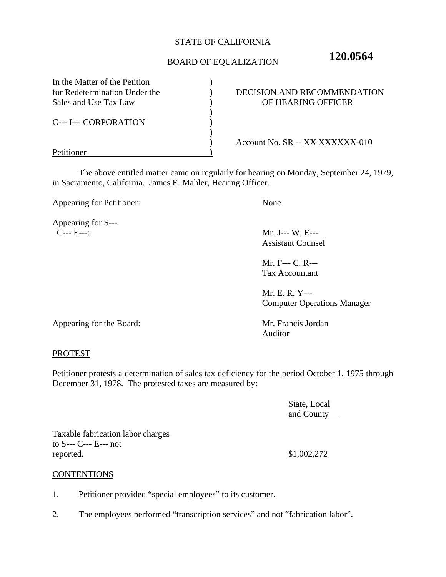### STATE OF CALIFORNIA

# BOARD OF EQUALIZATION **120.0564**

| In the Matter of the Petition |                                 |
|-------------------------------|---------------------------------|
| for Redetermination Under the | DECISION AND RECOMMENDATION     |
| Sales and Use Tax Law         | OF HEARING OFFICER              |
|                               |                                 |
| <b>C--- I--- CORPORATION</b>  |                                 |
|                               |                                 |
|                               | Account No. SR -- XX XXXXXX-010 |
|                               |                                 |

The above entitled matter came on regularly for hearing on Monday, September 24, 1979, in Sacramento, California. James E. Mahler, Hearing Officer.

Appearing for Petitioner: None

Appearing for S--- C--- E---: Mr. J--- W. E---

Assistant Counsel

Mr. F--- C. R--- Tax Accountant

Mr. E. R. Y--- Computer Operations Manager

Appearing for the Board: Mr. Francis Jordan

Auditor

#### PROTEST

Petitioner protests a determination of sales tax deficiency for the period October 1, 1975 through December 31, 1978. The protested taxes are measured by:

> State, Local and County

Taxable fabrication labor charges to S--- C--- E--- not reported. \$1,002,272

**CONTENTIONS** 

- 1. Petitioner provided "special employees" to its customer.
- 2. The employees performed "transcription services" and not "fabrication labor".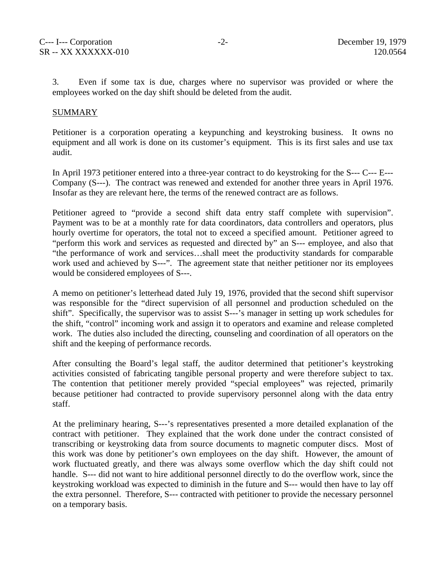3. Even if some tax is due, charges where no supervisor was provided or where the employees worked on the day shift should be deleted from the audit.

#### SUMMARY

Petitioner is a corporation operating a keypunching and keystroking business. It owns no equipment and all work is done on its customer's equipment. This is its first sales and use tax audit.

In April 1973 petitioner entered into a three-year contract to do keystroking for the S--- C--- E--- Company (S---). The contract was renewed and extended for another three years in April 1976. Insofar as they are relevant here, the terms of the renewed contract are as follows.

Petitioner agreed to "provide a second shift data entry staff complete with supervision". Payment was to be at a monthly rate for data coordinators, data controllers and operators, plus hourly overtime for operators, the total not to exceed a specified amount. Petitioner agreed to "perform this work and services as requested and directed by" an S--- employee, and also that "the performance of work and services…shall meet the productivity standards for comparable work used and achieved by S---". The agreement state that neither petitioner nor its employees would be considered employees of S---.

A memo on petitioner's letterhead dated July 19, 1976, provided that the second shift supervisor was responsible for the "direct supervision of all personnel and production scheduled on the shift". Specifically, the supervisor was to assist S---'s manager in setting up work schedules for the shift, "control" incoming work and assign it to operators and examine and release completed work. The duties also included the directing, counseling and coordination of all operators on the shift and the keeping of performance records.

After consulting the Board's legal staff, the auditor determined that petitioner's keystroking activities consisted of fabricating tangible personal property and were therefore subject to tax. The contention that petitioner merely provided "special employees" was rejected, primarily because petitioner had contracted to provide supervisory personnel along with the data entry staff.

At the preliminary hearing, S---'s representatives presented a more detailed explanation of the contract with petitioner. They explained that the work done under the contract consisted of transcribing or keystroking data from source documents to magnetic computer discs. Most of this work was done by petitioner's own employees on the day shift. However, the amount of work fluctuated greatly, and there was always some overflow which the day shift could not handle. S--- did not want to hire additional personnel directly to do the overflow work, since the keystroking workload was expected to diminish in the future and S--- would then have to lay off the extra personnel. Therefore, S--- contracted with petitioner to provide the necessary personnel on a temporary basis.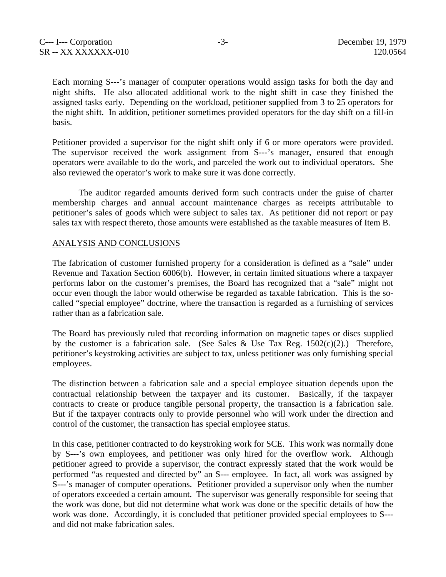Each morning S---'s manager of computer operations would assign tasks for both the day and night shifts. He also allocated additional work to the night shift in case they finished the assigned tasks early. Depending on the workload, petitioner supplied from 3 to 25 operators for the night shift. In addition, petitioner sometimes provided operators for the day shift on a fill-in basis.

Petitioner provided a supervisor for the night shift only if 6 or more operators were provided. The supervisor received the work assignment from S---'s manager, ensured that enough operators were available to do the work, and parceled the work out to individual operators. She also reviewed the operator's work to make sure it was done correctly.

The auditor regarded amounts derived form such contracts under the guise of charter membership charges and annual account maintenance charges as receipts attributable to petitioner's sales of goods which were subject to sales tax. As petitioner did not report or pay sales tax with respect thereto, those amounts were established as the taxable measures of Item B.

#### ANALYSIS AND CONCLUSIONS

The fabrication of customer furnished property for a consideration is defined as a "sale" under Revenue and Taxation Section 6006(b). However, in certain limited situations where a taxpayer performs labor on the customer's premises, the Board has recognized that a "sale" might not occur even though the labor would otherwise be regarded as taxable fabrication. This is the socalled "special employee" doctrine, where the transaction is regarded as a furnishing of services rather than as a fabrication sale.

The Board has previously ruled that recording information on magnetic tapes or discs supplied by the customer is a fabrication sale. (See Sales & Use Tax Reg.  $1502(c)(2)$ .) Therefore, petitioner's keystroking activities are subject to tax, unless petitioner was only furnishing special employees.

The distinction between a fabrication sale and a special employee situation depends upon the contractual relationship between the taxpayer and its customer. Basically, if the taxpayer contracts to create or produce tangible personal property, the transaction is a fabrication sale. But if the taxpayer contracts only to provide personnel who will work under the direction and control of the customer, the transaction has special employee status.

In this case, petitioner contracted to do keystroking work for SCE. This work was normally done by S---'s own employees, and petitioner was only hired for the overflow work. Although petitioner agreed to provide a supervisor, the contract expressly stated that the work would be performed "as requested and directed by" an S--- employee. In fact, all work was assigned by S---'s manager of computer operations. Petitioner provided a supervisor only when the number of operators exceeded a certain amount. The supervisor was generally responsible for seeing that the work was done, but did not determine what work was done or the specific details of how the work was done. Accordingly, it is concluded that petitioner provided special employees to S-- and did not make fabrication sales.